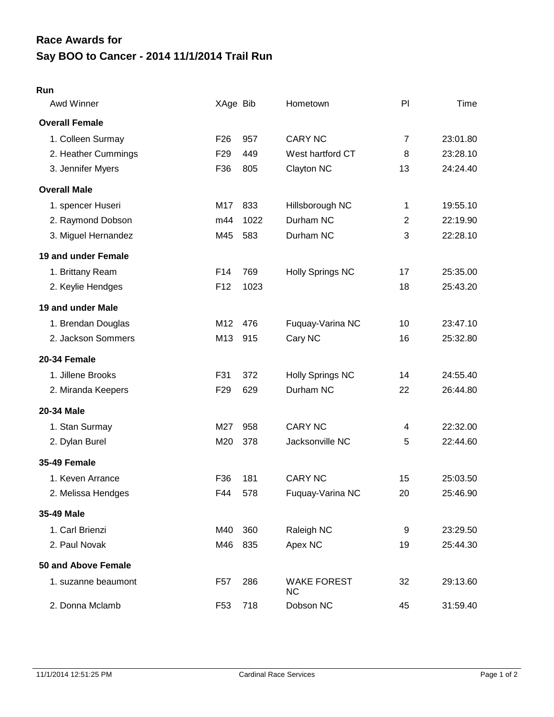## **Say BOO to Cancer - 2014 11/1/2014 Trail Run Race Awards for**

## **Run**

| Awd Winner            | XAge Bib        |      | Hometown                        | PI             | Time     |
|-----------------------|-----------------|------|---------------------------------|----------------|----------|
| <b>Overall Female</b> |                 |      |                                 |                |          |
| 1. Colleen Surmay     | F <sub>26</sub> | 957  | <b>CARY NC</b>                  | $\overline{7}$ | 23:01.80 |
| 2. Heather Cummings   | F <sub>29</sub> | 449  | West hartford CT                | 8              | 23:28.10 |
| 3. Jennifer Myers     | F36             | 805  | Clayton NC                      | 13             | 24:24.40 |
| <b>Overall Male</b>   |                 |      |                                 |                |          |
| 1. spencer Huseri     | M17             | 833  | Hillsborough NC                 | 1              | 19:55.10 |
| 2. Raymond Dobson     | m44             | 1022 | Durham NC                       | $\overline{2}$ | 22:19.90 |
| 3. Miguel Hernandez   | M45             | 583  | Durham NC                       | 3              | 22:28.10 |
| 19 and under Female   |                 |      |                                 |                |          |
| 1. Brittany Ream      | F <sub>14</sub> | 769  | <b>Holly Springs NC</b>         | 17             | 25:35.00 |
| 2. Keylie Hendges     | F <sub>12</sub> | 1023 |                                 | 18             | 25:43.20 |
| 19 and under Male     |                 |      |                                 |                |          |
| 1. Brendan Douglas    | M12             | 476  | Fuquay-Varina NC                | 10             | 23:47.10 |
| 2. Jackson Sommers    | M13             | 915  | Cary NC                         | 16             | 25:32.80 |
| 20-34 Female          |                 |      |                                 |                |          |
| 1. Jillene Brooks     | F31             | 372  | <b>Holly Springs NC</b>         | 14             | 24:55.40 |
| 2. Miranda Keepers    | F <sub>29</sub> | 629  | Durham NC                       | 22             | 26:44.80 |
| 20-34 Male            |                 |      |                                 |                |          |
| 1. Stan Surmay        | M27             | 958  | <b>CARY NC</b>                  | 4              | 22:32.00 |
| 2. Dylan Burel        | M20             | 378  | Jacksonville NC                 | 5              | 22:44.60 |
| <b>35-49 Female</b>   |                 |      |                                 |                |          |
| 1. Keven Arrance      | F36             | 181  | <b>CARY NC</b>                  | 15             | 25:03.50 |
| 2. Melissa Hendges    | F44             | 578  | Fuquay-Varina NC                | 20             | 25:46.90 |
| 35-49 Male            |                 |      |                                 |                |          |
| 1. Carl Brienzi       | M40             | 360  | Raleigh NC                      | 9              | 23:29.50 |
| 2. Paul Novak         | M46             | 835  | Apex NC                         | 19             | 25:44.30 |
| 50 and Above Female   |                 |      |                                 |                |          |
| 1. suzanne beaumont   | F57             | 286  | <b>WAKE FOREST</b><br><b>NC</b> | 32             | 29:13.60 |
| 2. Donna Mclamb       | F <sub>53</sub> | 718  | Dobson NC                       | 45             | 31:59.40 |